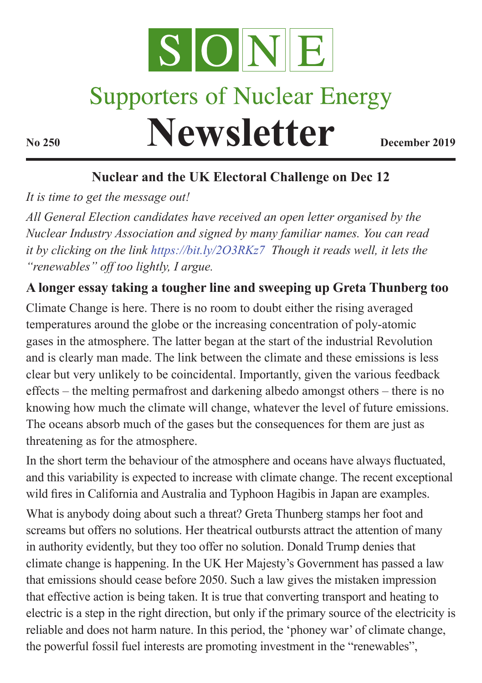

# **Supporters of Nuclear Energy**

**Newsletter December 2019** 

# **Nuclear and the UK Electoral Challenge on Dec 12**

*It is time to get the message out!* 

*All General Election candidates have received an open letter organised by the Nuclear Industry Association and signed by many familiar names. You can read it by clicking on the link https://bit.ly/2O3RKz7 Though it reads well, it lets the "renewables" off too lightly, I argue.* 

# **A longer essay taking a tougher line and sweeping up Greta Thunberg too**

Climate Change is here. There is no room to doubt either the rising averaged temperatures around the globe or the increasing concentration of poly-atomic gases in the atmosphere. The latter began at the start of the industrial Revolution and is clearly man made. The link between the climate and these emissions is less clear but very unlikely to be coincidental. Importantly, given the various feedback effects – the melting permafrost and darkening albedo amongst others – there is no knowing how much the climate will change, whatever the level of future emissions. The oceans absorb much of the gases but the consequences for them are just as threatening as for the atmosphere.

In the short term the behaviour of the atmosphere and oceans have always fluctuated, and this variability is expected to increase with climate change. The recent exceptional wild fires in California and Australia and Typhoon Hagibis in Japan are examples.

What is anybody doing about such a threat? Greta Thunberg stamps her foot and screams but offers no solutions. Her theatrical outbursts attract the attention of many in authority evidently, but they too offer no solution. Donald Trump denies that climate change is happening. In the UK Her Majesty's Government has passed a law that emissions should cease before 2050. Such a law gives the mistaken impression that effective action is being taken. It is true that converting transport and heating to electric is a step in the right direction, but only if the primary source of the electricity is reliable and does not harm nature. In this period, the 'phoney war' of climate change, the powerful fossil fuel interests are promoting investment in the "renewables",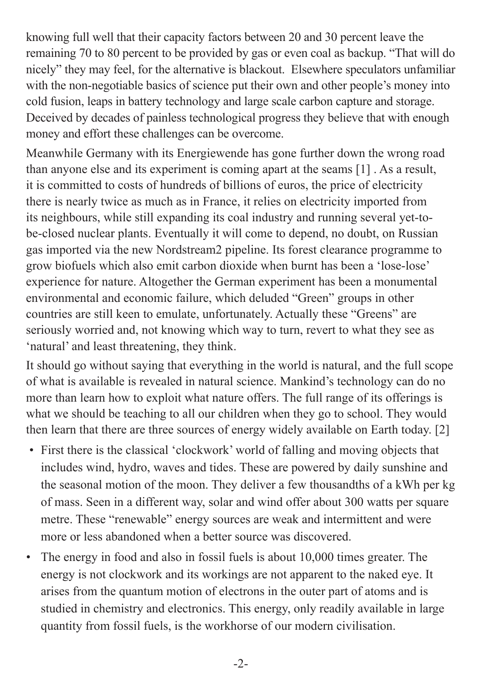knowing full well that their capacity factors between 20 and 30 percent leave the remaining 70 to 80 percent to be provided by gas or even coal as backup. "That will do nicely" they may feel, for the alternative is blackout. Elsewhere speculators unfamiliar with the non-negotiable basics of science put their own and other people's money into cold fusion, leaps in battery technology and large scale carbon capture and storage. Deceived by decades of painless technological progress they believe that with enough money and effort these challenges can be overcome.

Meanwhile Germany with its Energiewende has gone further down the wrong road than anyone else and its experiment is coming apart at the seams [1] . As a result, it is committed to costs of hundreds of billions of euros, the price of electricity there is nearly twice as much as in France, it relies on electricity imported from its neighbours, while still expanding its coal industry and running several yet-tobe-closed nuclear plants. Eventually it will come to depend, no doubt, on Russian gas imported via the new Nordstream2 pipeline. Its forest clearance programme to grow biofuels which also emit carbon dioxide when burnt has been a 'lose-lose' experience for nature. Altogether the German experiment has been a monumental environmental and economic failure, which deluded "Green" groups in other countries are still keen to emulate, unfortunately. Actually these "Greens" are seriously worried and, not knowing which way to turn, revert to what they see as 'natural' and least threatening, they think.

It should go without saying that everything in the world is natural, and the full scope of what is available is revealed in natural science. Mankind's technology can do no more than learn how to exploit what nature offers. The full range of its offerings is what we should be teaching to all our children when they go to school. They would then learn that there are three sources of energy widely available on Earth today. [2]

- First there is the classical 'clockwork' world of falling and moving objects that includes wind, hydro, waves and tides. These are powered by daily sunshine and the seasonal motion of the moon. They deliver a few thousandths of a kWh per kg of mass. Seen in a different way, solar and wind offer about 300 watts per square metre. These "renewable" energy sources are weak and intermittent and were more or less abandoned when a better source was discovered.
- The energy in food and also in fossil fuels is about 10,000 times greater. The energy is not clockwork and its workings are not apparent to the naked eye. It arises from the quantum motion of electrons in the outer part of atoms and is studied in chemistry and electronics. This energy, only readily available in large quantity from fossil fuels, is the workhorse of our modern civilisation.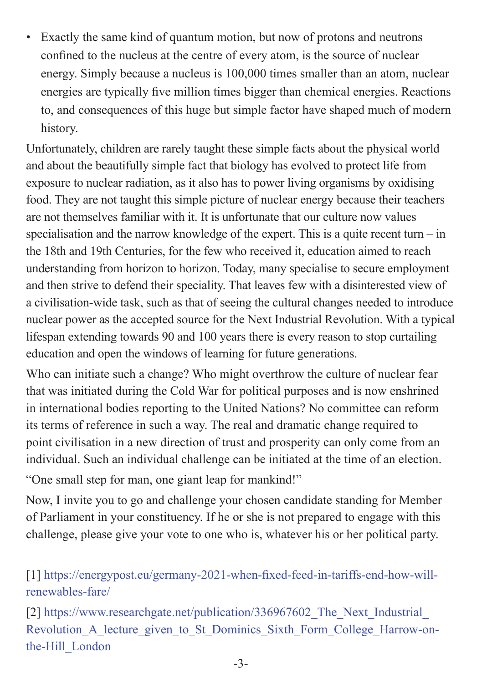• Exactly the same kind of quantum motion, but now of protons and neutrons confined to the nucleus at the centre of every atom, is the source of nuclear energy. Simply because a nucleus is 100,000 times smaller than an atom, nuclear energies are typically five million times bigger than chemical energies. Reactions to, and consequences of this huge but simple factor have shaped much of modern history.

Unfortunately, children are rarely taught these simple facts about the physical world and about the beautifully simple fact that biology has evolved to protect life from exposure to nuclear radiation, as it also has to power living organisms by oxidising food. They are not taught this simple picture of nuclear energy because their teachers are not themselves familiar with it. It is unfortunate that our culture now values specialisation and the narrow knowledge of the expert. This is a quite recent turn – in the 18th and 19th Centuries, for the few who received it, education aimed to reach understanding from horizon to horizon. Today, many specialise to secure employment and then strive to defend their speciality. That leaves few with a disinterested view of a civilisation-wide task, such as that of seeing the cultural changes needed to introduce nuclear power as the accepted source for the Next Industrial Revolution. With a typical lifespan extending towards 90 and 100 years there is every reason to stop curtailing education and open the windows of learning for future generations.

Who can initiate such a change? Who might overthrow the culture of nuclear fear that was initiated during the Cold War for political purposes and is now enshrined in international bodies reporting to the United Nations? No committee can reform its terms of reference in such a way. The real and dramatic change required to point civilisation in a new direction of trust and prosperity can only come from an individual. Such an individual challenge can be initiated at the time of an election. "One small step for man, one giant leap for mankind!"

Now, I invite you to go and challenge your chosen candidate standing for Member of Parliament in your constituency. If he or she is not prepared to engage with this challenge, please give your vote to one who is, whatever his or her political party.

[1] https://energypost.eu/germany-2021-when-fixed-feed-in-tariffs-end-how-willrenewables-fare/

[2] https://www.researchgate.net/publication/336967602 The Next Industrial Revolution A lecture given to St Dominics Sixth Form College Harrow-onthe-Hill\_London